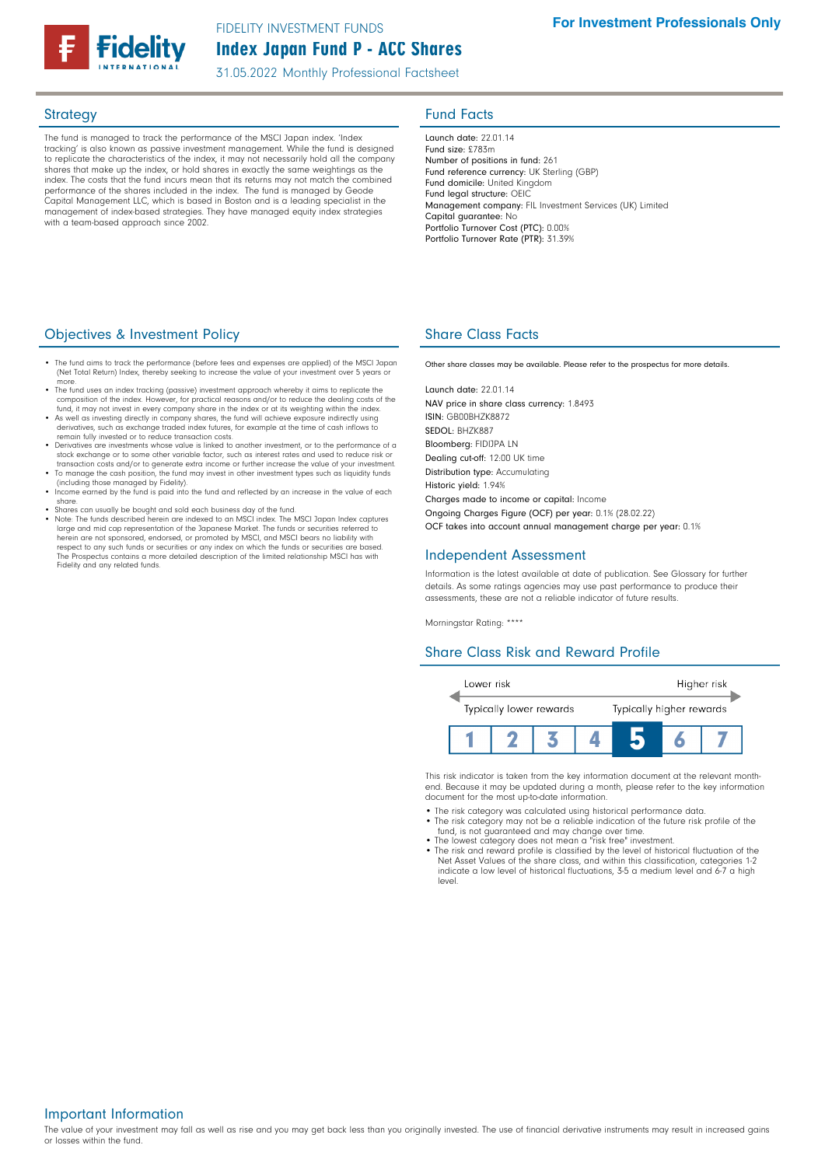

31.05.2022 Monthly Professional Factsheet

The fund is managed to track the performance of the MSCI Japan index. 'Index tracking' is also known as passive investment management. While the fund is designed to replicate the characteristics of the index, it may not necessarily hold all the company shares that make up the index, or hold shares in exactly the same weightings as the index. The costs that the fund incurs mean that its returns may not match the combined performance of the shares included in the index. The fund is managed by Geode Capital Management LLC, which is based in Boston and is a leading specialist in the management of index-based strategies. They have managed equity index strategies with a team-based approach since 2002.

# Strategy **Fund Facts**

Launch date: 22.01.14 Fund size: £783m Number of positions in fund: 261 Fund reference currency: UK Sterling (GBP) Fund domicile: United Kingdom Fund legal structure: OEIC Management company: FIL Investment Services (UK) Limited Capital guarantee: No Portfolio Turnover Cost (PTC): 0.00% Portfolio Turnover Rate (PTR): 31.39%

### **Objectives & Investment Policy Share Class Facts** Share Class Facts

- The fund aims to track the performance (before fees and expenses are applied) of the MSCI Japan (Net Total Return) Index, thereby seeking to increase the value of your investment over 5 years
- more.<br>• The fund uses an index tracking (passive) investment approach whereby it aims to replicate the<br>• composition of the index. However, for practical reasons and/or to reduce the dealing costs of the<br>• fund, it may not
- As well as investing directly in company shares, the fund will achieve exposure indirectly using derivatives, such as exchange traded index futures, for example at the time of cash inflows to remain fully invested or to reduce transaction costs.
- Derivatives are investments whose value is linked to another investment, or to the performance of a stock exchange or to some other variable factor, such as interest rates and used to reduce risk or
- transaction costs and/or to generate extra income or further increase the value of your investment.<br>• To manage the cash position, the fund may invest in other investment types such as liquidity funds<br>(including those mana
- Income earned by the fund is paid into the fund and reflected by an increase in the value of each share.
- Shares can usually be bought and sold each business day of the fund.
- Note: The funds described herein are indexed to an MSCI index. The MSCI Japan Index captures large and mid cap representation of the Japanese Market. The funds or securities referred to herein are not sponsored, endorsed, or promoted by MSCI, and MSCI bears no liability with<br>respect to any such funds or securities or any index on which the funds or securities are based.<br>The Prospectus contains a more deta Fidelity and any related funds.

Other share classes may be available. Please refer to the prospectus for more details.

Launch date: 22.01.14 NAV price in share class currency: 1.8493 ISIN: GB00BHZK8872 SEDOL: BHZK887 Bloomberg: FIDIJPA LN Dealing cut-off: 12:00 UK time Distribution type: Accumulating Historic yield: 1.94% Charges made to income or capital: Income Ongoing Charges Figure (OCF) per year: 0.1% (28.02.22) OCF takes into account annual management charge per year: 0.1%

## Independent Assessment

Information is the latest available at date of publication. See Glossary for further details. As some ratings agencies may use past performance to produce their assessments, these are not a reliable indicator of future results.

Morningstar Rating: \*\*\*\*

## Share Class Risk and Reward Profile



This risk indicator is taken from the key information document at the relevant monthend. Because it may be updated during a month, please refer to the key information document for the most up-to-date information.

- The risk category was calculated using historical performance data.
- The risk category may not be a reliable indication of the future risk profile of the fund, is not guaranteed and may change over time.
- The lowest category does not mean a "risk free" investment.
- The risk and reward profile is classified by the level of historical fluctuation of the Net Asset Values of the share class, and within this classification, categories 1-2 indicate a low level of historical fluctuations, 3-5 a medium level and 6-7 a high level.

Important Information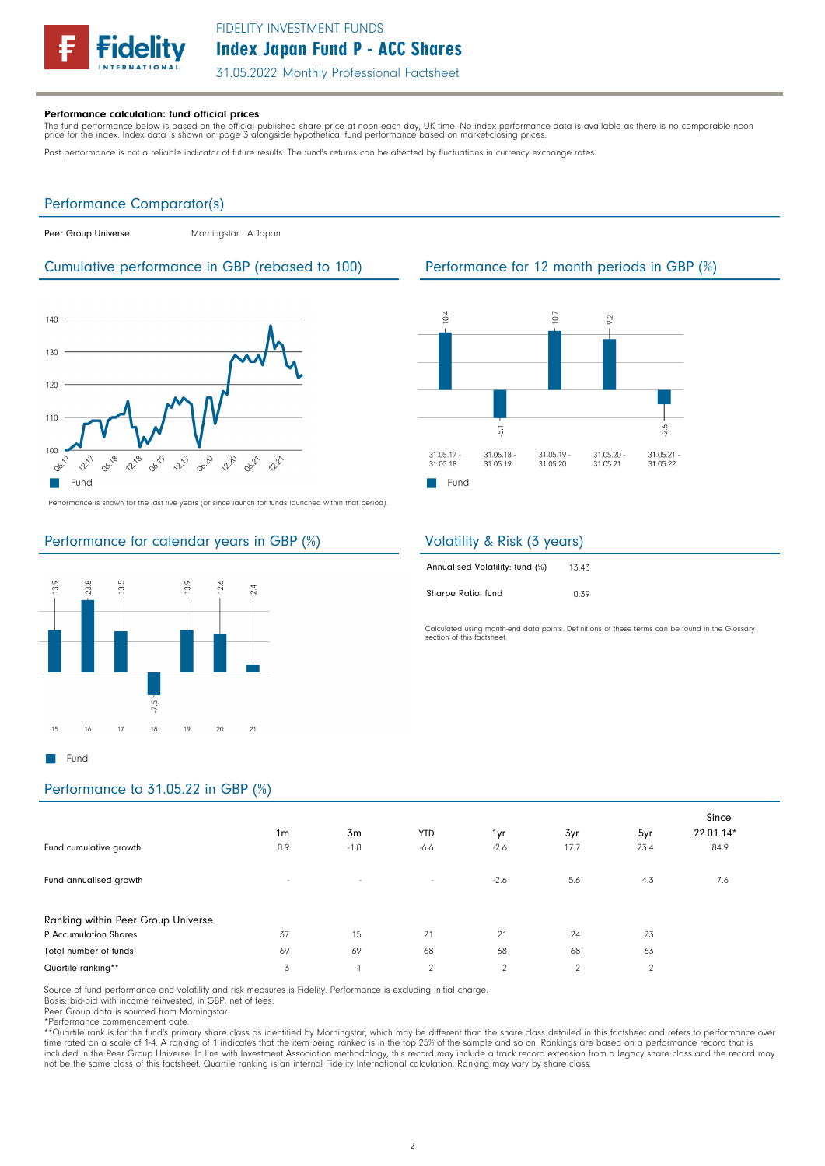

31.05.2022 Monthly Professional Factsheet

#### Performance calculation: fund official prices

The fund performance below is based on the official published share price at noon each day, UK time. No index performance data is available as there is no comparable noon<br>price for the index. Index data is shown on page 3

Past performance is not a reliable indicator of future results. The fund's returns can be affected by fluctuations in currency exchange rates.

## Performance Comparator(s)

|  | Peer Group Universe |
|--|---------------------|

Morningstar IA Japan

### Cumulative performance in GBP (rebased to 100) Performance for 12 month periods in GBP (%)



Performance is shown for the last five years (or since launch for funds launched within that period).

# Performance for calendar years in GBP (%)



 $\overline{5}$ 

31.05.18

31.05.19

 $\blacksquare$  Fund

31.05.17

31.05.18

 $0.4$ 

#### Volatility & Risk (3 years) 13.43 Annualised Volatility: fund (%)

| Sharpe Ratio: fund |  | 0.39 |
|--------------------|--|------|

Calculated using month-end data points. Definitions of these terms can be found in the Glossary section of this factsheet

### Performance to 31.05.22 in GBP (%)

| Fund cumulative growth                                      | 1 <sub>m</sub><br>0.9 | 3m<br>$-1.0$ | <b>YTD</b><br>$-6.6$ | 1yr<br>$-2.6$  | 3yr<br>17.7 | 5yr<br>23.4    | Since<br>22.01.14*<br>84.9 |
|-------------------------------------------------------------|-----------------------|--------------|----------------------|----------------|-------------|----------------|----------------------------|
| Fund annualised growth                                      | $\sim$                | $\sim$       | $\sim$               | $-2.6$         | 5.6         | 4.3            | 7.6                        |
| Ranking within Peer Group Universe<br>P Accumulation Shares | 37                    | 15           | 21                   | 21             | 24          | 23             |                            |
| Total number of funds                                       | 69                    | 69           | 68                   | 68             | 68          | 63             |                            |
| Quartile ranking**                                          | 3                     |              | 2                    | $\overline{2}$ | 2           | $\overline{2}$ |                            |

Source of fund performance and volatility and risk measures is Fidelity. Performance is excluding initial charge.

Basis: bid-bid with income reinvested, in GBP, net of fees.

Peer Group data is sourced from Morningstar.

\*Performance commencement date.<br>\*\*Quartile rank is for the fund's primary share class as identified by Morningstar, which may be different than the share class detailed in this factsheet and refers to performance over<br>time included in the Peer Group Universe. In line with Investment Association methodology, this record may include a track record extension from a legacy share class and the record may not be the same class of this factsheet. Quartile ranking is an internal Fidelity International calculation. Ranking may vary by share class.

2

 $\frac{2}{3}$ 

31.05.20

31.05.21

31.05.21

31.05.22

 $\overline{0}$ 

31.05.19

31.05.20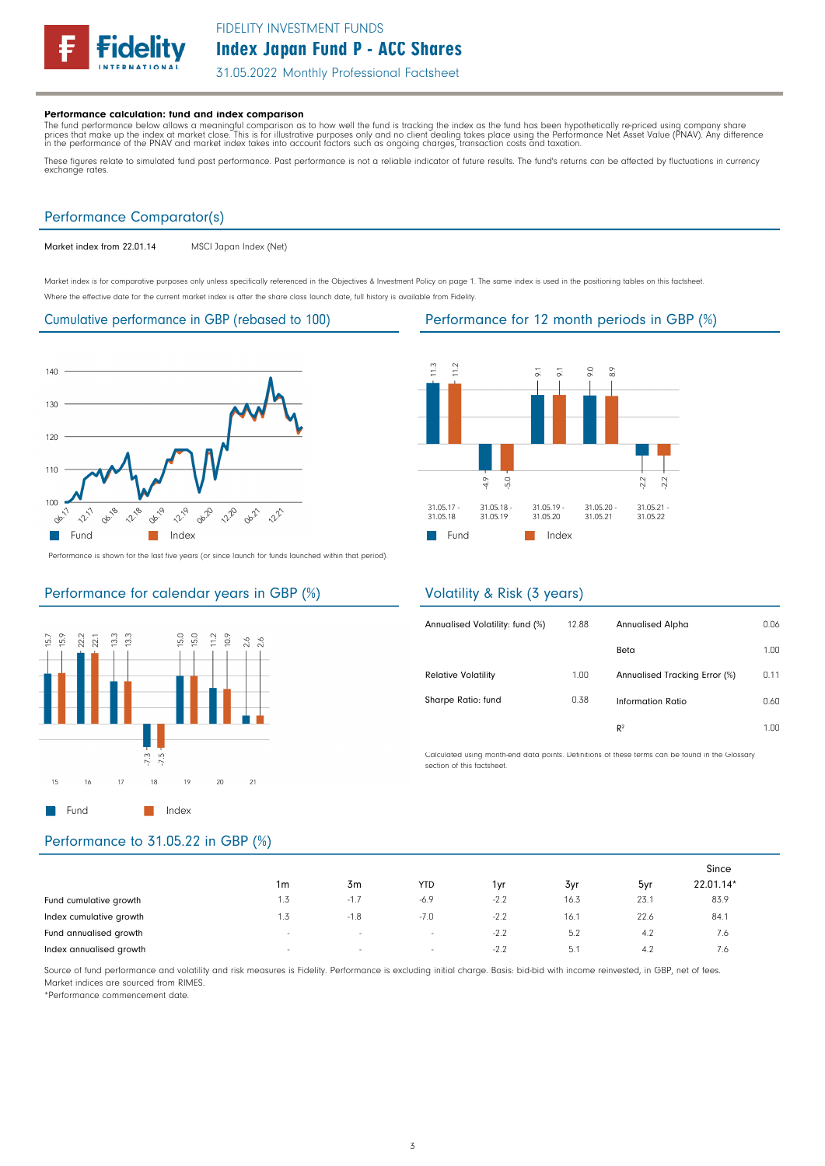

31.05.2022 Monthly Professional Factsheet

#### Performance calculation: fund and index comparison

The fund performance below allows a meaningful comparison as to how well the fund is tracking the index as the fund has been hypothetically re-priced using company share<br>prices that make up the index at market close. This

These figures relate to simulated fund past performance. Past performance is not a reliable indicator of future results. The fund's returns can be affected by fluctuations in currency exchange rates.

### Performance Comparator(s)

Market index from 22.01.14 MSCI Japan Index (Net)

Market index is for comparative purposes only unless specifically referenced in the Objectives & Investment Policy on page 1. The same index is used in the positioning tables on this factsheet. Where the effective date for the current market index is after the share class launch date, full history is available from Fidelity.

#### Cumulative performance in GBP (rebased to 100) Performance for 12 month periods in GBP (%)



 $1.3$  $12$ 8.9 9.0  $4.9$  $5.0$  $2.2$  $2.2$  $31.05.17 31.05.18$ 31.05.19  $31.05.20 31.05.21 -$ 31.05.18 31.05.19 31.05.20 31.05.21  $31.05.22$ **Fund** Index

Performance is shown for the last five years (or since launch for funds launched within that period).

### Performance for calendar years in GBP (%)



### Volatility & Risk (3 years)

| Annualised Volatility: fund (%) | 12.88 | Annualised Alpha              | 0.06 |
|---------------------------------|-------|-------------------------------|------|
|                                 |       | Beta                          | 1.00 |
| <b>Relative Volatility</b>      | 1.00  | Annualised Tracking Error (%) | 0.11 |
| Sharpe Ratio: fund              | 0.38  | Information Ratio             | 0.60 |
|                                 |       | R <sup>2</sup>                | 1 NN |

Calculated using month-end data points. Definitions of these terms can be found in the Glossary section of this factsheet.

# Performance to 31.05.22 in GBP (%)

|                         |                          |                          |            |        |      | Since |           |  |
|-------------------------|--------------------------|--------------------------|------------|--------|------|-------|-----------|--|
|                         | 1m                       | 3m                       | <b>YTD</b> | 1vr    | 3yr  | 5yr   | 22.01.14* |  |
| Fund cumulative growth  | 1.J                      | $-1.7$                   | $-6.9$     | $-2.2$ | 16.3 | 23.1  | 83.9      |  |
| Index cumulative growth | ر ا                      | $-1.8$                   | $-7.0$     | $-2.2$ | 16.1 | 22.6  | 84.1      |  |
| Fund annualised growth  | $\overline{\phantom{a}}$ | $\sim$                   | $\sim$     | $-2.2$ | 5.2  | 4.2   | 7.6       |  |
| Index annualised growth | $\overline{\phantom{a}}$ | $\overline{\phantom{a}}$ | $\sim$     | $-22$  | 5.1  | 4.2   | 1.6       |  |

Source of fund performance and volatility and risk measures is Fidelity. Performance is excluding initial charge. Basis: bid-bid with income reinvested, in GBP, net of fees. Market indices are sourced from RIMES.

\*Performance commencement date.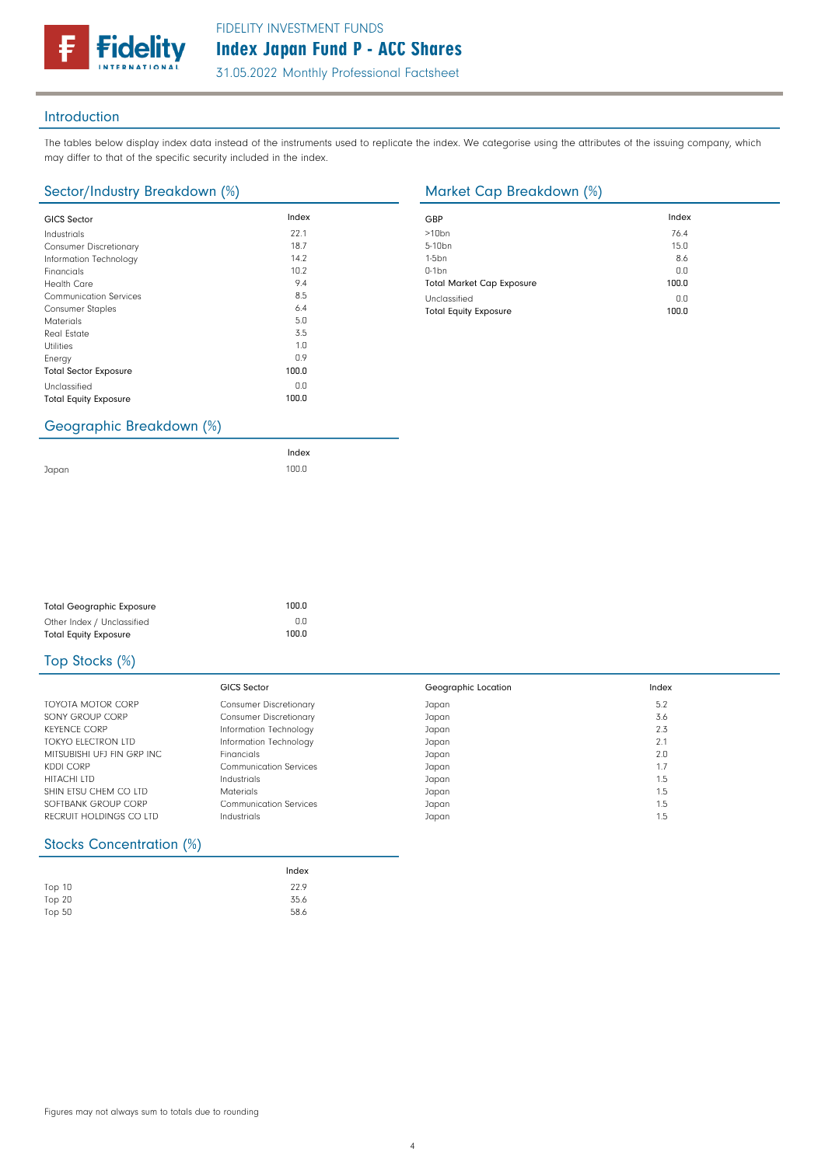31.05.2022 Monthly Professional Factsheet

### Introduction

The tables below display index data instead of the instruments used to replicate the index. We categorise using the attributes of the issuing company, which may differ to that of the specific security included in the index.

## Sector/Industry Breakdown (%) Market Cap Breakdown (%)

delitv

| <b>GICS Sector</b>                              | Index | GBP              |
|-------------------------------------------------|-------|------------------|
| Industrials                                     | 22.1  | >10 <sub>k</sub> |
| <b>Consumer Discretionary</b>                   | 18.7  | $5 - 10$         |
| Information Technology                          | 14.2  | $1-5b$           |
| Financials                                      | 10.2  | $0-1b$           |
| <b>Health Care</b>                              | 9.4   | Tota             |
| <b>Communication Services</b>                   | 8.5   | Uncl             |
| <b>Consumer Staples</b>                         | 6.4   | Tota             |
| <b>Materials</b>                                | 5.0   |                  |
| <b>Real Estate</b>                              | 3.5   |                  |
| <b>Utilities</b>                                | 1.0   |                  |
| Energy                                          | 0.9   |                  |
| <b>Total Sector Exposure</b>                    | 100.0 |                  |
| Unclassified                                    | 0.0   |                  |
| <b>Total Equity Exposure</b>                    | 100.0 |                  |
| $C$ convantio $D$ roalidous $\langle 0 \rangle$ |       |                  |

| GBP                              | Index |
|----------------------------------|-------|
| $>10$ bn                         | 76.4  |
| 5-10 <sub>bn</sub>               | 15.0  |
| $1-5bn$                          | 8.6   |
| $0-1$ bn                         | 0.0   |
| <b>Total Market Cap Exposure</b> | 100.0 |
| Unclassified                     | 0.0   |
| <b>Total Equity Exposure</b>     | 100.0 |

#### Geographic Breakdown (%)

Japan

| Index |
|-------|
| 100.0 |

| <b>Total Geographic Exposure</b> | 100.0 |
|----------------------------------|-------|
| Other Index / Unclassified       | 0.0   |
| <b>Total Equity Exposure</b>     | 100.0 |

## Top Stocks (%)

|                            | GICS Sector                   | Geographic Location | Index |
|----------------------------|-------------------------------|---------------------|-------|
| TOYOTA MOTOR CORP          | <b>Consumer Discretionary</b> | Japan               | 5.2   |
| SONY GROUP CORP            | <b>Consumer Discretionary</b> | Japan               | 3.6   |
| <b>KEYENCE CORP</b>        | Information Technology        | Japan               | 2.3   |
| TOKYO ELECTRON LTD         | Information Technology        | Japan               | 2.1   |
| MITSUBISHI UFJ FIN GRP INC | Financials                    | Japan               | 2.0   |
| KDDI CORP                  | Communication Services        | Japan               | .7    |
| <b>HITACHI LTD</b>         | Industrials                   | Japan               | . 5   |
| SHIN ETSU CHEM CO LTD      | <b>Materials</b>              | Japan               | 1.5   |
| SOFTBANK GROUP CORP        | <b>Communication Services</b> | Japan               | 1.5   |
| RECRUIT HOLDINGS CO LTD    | Industrials                   | Japan               | 1.5   |

## Stocks Concentration (%)

|          | Index |
|----------|-------|
| Top 10   | 22.9  |
| Top $20$ | 35.6  |
| Top $50$ | 58.6  |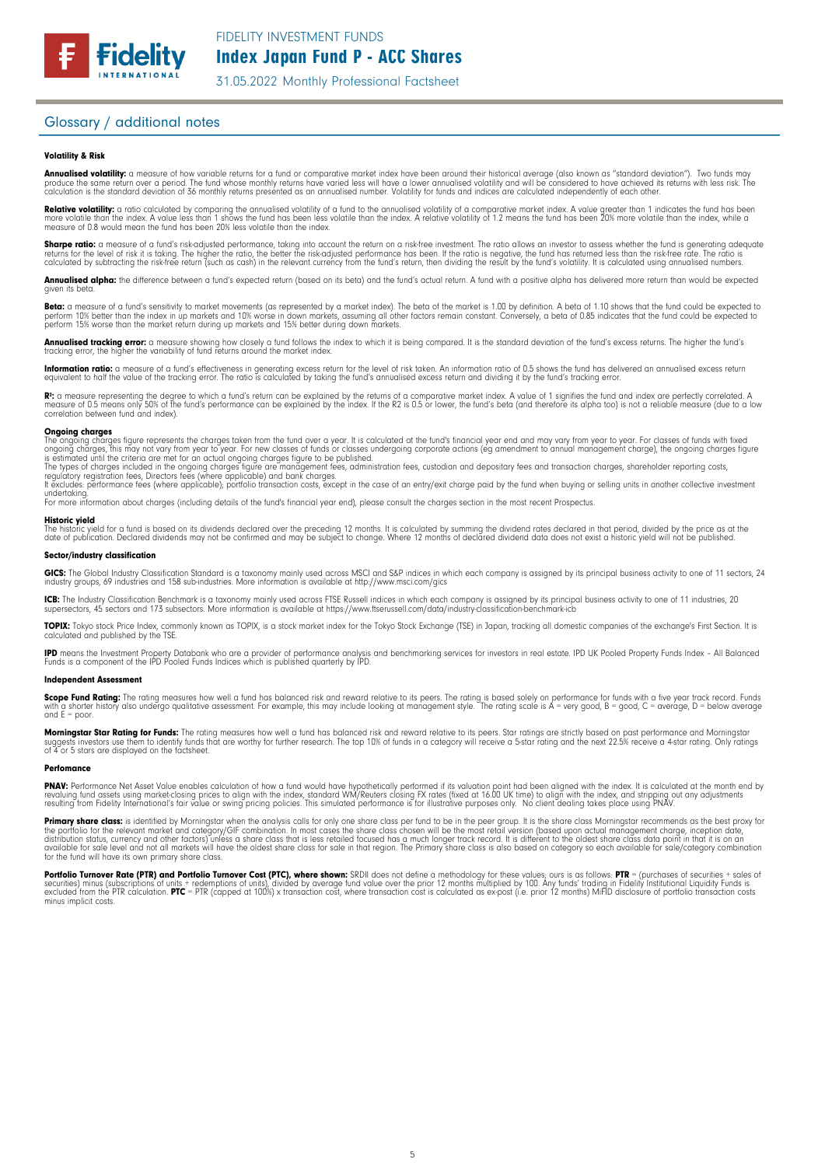

31.05.2022 Monthly Professional Factsheet

### Glossary / additional notes

#### Volatility & Risk

**Annualised volatility:** a measure of how variable returns for a fund or comparative market index have been around their historical average (also known as "standard deviation"). Two funds may<br>produce the same return over a calculation is the standard deviation of 36 monthly returns presented as an annualised number. Volatility for funds and indices are calculated independently of each other

**Relative volatility:** a ratio calculated by comparing the annualised volatility of a fund to the annualised volatility of a comparative market index. A value greater than 1 indicates the fund has been<br>more volatile than t measure of 0.8 would mean the fund has been 20% less volatile than the index.

**Sharpe ratio:** a measure of a fund's risk-adjusted performance, taking into account the return on a risk-free investment. The ratio allows an investor to assess whether the fund is generating adequate the tund is generati

Annualised alpha: the difference between a fund's expected return (based on its beta) and the fund's actual return. A fund with a positive alpha has delivered more return than would be expected given its beta

**Beta:** a measure of a fund's sensitivity to market movements (as represented by a market index). The beta of the market is 1.00 by definition. A beta of 1.10 shows that the fund could be expected to<br>perform 10% better tha perform 15% worse than the market return during up markets and 15% better during down markets.

**Annualised tracking error:** a measure showing how closely a tund tollows the index to which it is being compared. It is the standard deviation of the fund's excess returns. The higher the fund's<br>tracking error, the higher

**Information ratio:** a measure ot a tund's eftectiveness in generating excess return for the level of risk taken. An information ratio of U.5 shows the fund has delivered an annualised excess return<br>equivalent to half the

Rº: a measure representing the degree to which a fund's return can be explained by the returns of a comparative market index. A value of 1 signifies the fund and index are perfectly correlated. A<br>measure of 0.5 means only correlation between fund and index).

**Ongoing charges** figure represents the charges taken from the fund over a year. It is calculated at the fund's financial year end and may vary from year to year. For classes of funds with fixed ongoing charges figure repr

For more information about charges (including details of the fund's financial year end), please consult the charges section in the most recent Prospectus.

**Historic yield**<br>The historic yield for a fund is based on its dividends declared over the preceding 12 months. It is calculated by summing the dividend rates declared in that period, divided by the price as at the date of publication. Declared dividends may not be confirmed and may be subject to change. Where 12 months of declared dividend data does not exist a historic yield will not be published.

#### Sector/industry classification

GICS: The Global Industry Classification Standard is a taxonomy mainly used across MSCI and S&P indices in which each company is assigned by its principal business activity to one of 11 sectors, 24 industry groups, 69 industries and 158 sub-industries. More information is available at http://www.msci.com/gics

**ICB:** The Industry Classitication Benchmark is a taxonomy mainly used across FTSE Russell indices in which each company is assigned by its principal business activity to one of 11 industries, 20<br>supersectors, 45 sectors a

TOPIX: Tokyo stock Price Index, commonly known as TOPIX, is a stock market index for the Tokyo Stock Exchange (TSE) in Japan, tracking all domestic companies of the exchange's First Section. It is calculated and published by the TSE.

**IPD** means the Investment Property Databank who are a provider of performance analysis and benchmarking services for investors in real estate. IPD UK Pooled Property Funds Index - All Balanced<br>Funds is a component of the

#### Independent Assessment

**Scope Fund Rating:** The rating measures how well a fund has balanced risk and reward relative to its peers. The rating is based solely on performance for funds with a five year track record. Funds<br>with a shorter history a and  $E = poor$ 

**Morningstar Star Rating for Funds:** The rating measures how well a tund has balanced risk and reward relative to its peers. Star ratings are strictly based on past performance and Morningstar<br>suggests investors use them t

#### **Perfomance**

**PNAV:** Performance Net Asset Value enables calculation of how a fund would have hypothetically performed if its valuation point had been aligned with the index. It is calculated at the month end by<br>revaluing from Fidelity

Primary share class: is identified by Morningstar when the analysis calls for only one share class per fund to be in the peer group. It is the share class Morningstar recommends as the best proxy for the portfolio for the relevant market and category/GIF combination. In most cases the share class chosen will be the most retail version (based upon actual management charge, inception date,<br>distribution status, currency a

Portfolio Turnover Rate (PTR) and Portfolio Turnover Cost (PTC), where shown: SRDII does not define a methodology for these values; ours is as follows: PTR = (purchases of securities + sales of<br>securities) minus (subscript minus implicit costs.